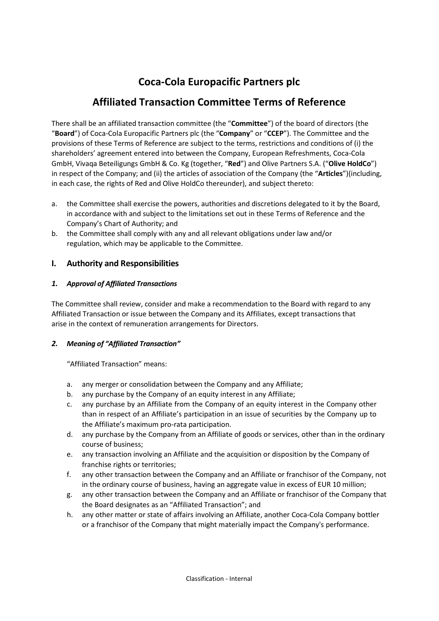# **Coca-Cola Europacific Partners plc**

# **Affiliated Transaction Committee Terms of Reference**

There shall be an affiliated transaction committee (the "**Committee**") of the board of directors (the "**Board**") of Coca-Cola Europacific Partners plc (the "**Company**" or "**CCEP**"). The Committee and the provisions of these Terms of Reference are subject to the terms, restrictions and conditions of (i) the shareholders' agreement entered into between the Company, European Refreshments, Coca-Cola GmbH, Vivaqa Beteiligungs GmbH & Co. Kg (together, "**Red**") and Olive Partners S.A. ("**Olive HoldCo**") in respect of the Company; and (ii) the articles of association of the Company (the "**Articles**")(including, in each case, the rights of Red and Olive HoldCo thereunder), and subject thereto:

- a. the Committee shall exercise the powers, authorities and discretions delegated to it by the Board, in accordance with and subject to the limitations set out in these Terms of Reference and the Company's Chart of Authority; and
- b. the Committee shall comply with any and all relevant obligations under law and/or regulation, which may be applicable to the Committee.

## **I. Authority and Responsibilities**

## *1. Approval of Affiliated Transactions*

The Committee shall review, consider and make a recommendation to the Board with regard to any Affiliated Transaction or issue between the Company and its Affiliates, except transactions that arise in the context of remuneration arrangements for Directors.

## *2. Meaning of "Affiliated Transaction"*

"Affiliated Transaction" means:

- a. any merger or consolidation between the Company and any Affiliate;
- b. any purchase by the Company of an equity interest in any Affiliate;
- c. any purchase by an Affiliate from the Company of an equity interest in the Company other than in respect of an Affiliate's participation in an issue of securities by the Company up to the Affiliate's maximum pro-rata participation.
- d. any purchase by the Company from an Affiliate of goods or services, other than in the ordinary course of business;
- e. any transaction involving an Affiliate and the acquisition or disposition by the Company of franchise rights or territories;
- f. any other transaction between the Company and an Affiliate or franchisor of the Company, not in the ordinary course of business, having an aggregate value in excess of EUR 10 million;
- g. any other transaction between the Company and an Affiliate or franchisor of the Company that the Board designates as an "Affiliated Transaction"; and
- h. any other matter or state of affairs involving an Affiliate, another Coca-Cola Company bottler or a franchisor of the Company that might materially impact the Company's performance.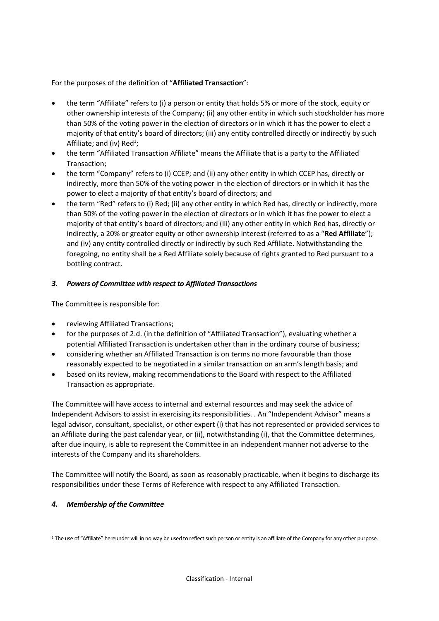For the purposes of the definition of "**Affiliated Transaction**":

- the term "Affiliate" refers to (i) a person or entity that holds 5% or more of the stock, equity or other ownership interests of the Company; (ii) any other entity in which such stockholder has more than 50% of the voting power in the election of directors or in which it has the power to elect a majority of that entity's board of directors; (iii) any entity controlled directly or indirectly by such Affiliate; and (iv) Red<sup>1</sup>;
- the term "Affiliated Transaction Affiliate" means the Affiliate that is a party to the Affiliated Transaction;
- the term "Company" refers to (i) CCEP; and (ii) any other entity in which CCEP has, directly or indirectly, more than 50% of the voting power in the election of directors or in which it has the power to elect a majority of that entity's board of directors; and
- the term "Red" refers to (i) Red; (ii) any other entity in which Red has, directly or indirectly, more than 50% of the voting power in the election of directors or in which it has the power to elect a majority of that entity's board of directors; and (iii) any other entity in which Red has, directly or indirectly, a 20% or greater equity or other ownership interest (referred to as a "**Red Affiliate**"); and (iv) any entity controlled directly or indirectly by such Red Affiliate. Notwithstanding the foregoing, no entity shall be a Red Affiliate solely because of rights granted to Red pursuant to a bottling contract.

#### *3. Powers of Committee with respect to Affiliated Transactions*

The Committee is responsible for:

- reviewing Affiliated Transactions;
- for the purposes of 2.d. (in the definition of "Affiliated Transaction"), evaluating whether a potential Affiliated Transaction is undertaken other than in the ordinary course of business;
- considering whether an Affiliated Transaction is on terms no more favourable than those reasonably expected to be negotiated in a similar transaction on an arm's length basis; and
- based on its review, making recommendations to the Board with respect to the Affiliated Transaction as appropriate.

The Committee will have access to internal and external resources and may seek the advice of Independent Advisors to assist in exercising its responsibilities. . An "Independent Advisor" means a legal advisor, consultant, specialist, or other expert (i) that has not represented or provided services to an Affiliate during the past calendar year, or (ii), notwithstanding (i), that the Committee determines, after due inquiry, is able to represent the Committee in an independent manner not adverse to the interests of the Company and its shareholders.

The Committee will notify the Board, as soon as reasonably practicable, when it begins to discharge its responsibilities under these Terms of Reference with respect to any Affiliated Transaction.

#### *4. Membership of the Committee*

<sup>&</sup>lt;sup>1</sup> The use of "Affiliate" hereunder will in no way be used to reflect such person or entity is an affiliate of the Company for any other purpose.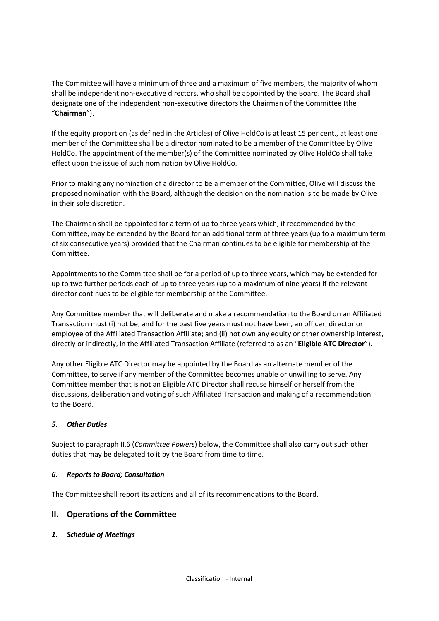The Committee will have a minimum of three and a maximum of five members, the majority of whom shall be independent non-executive directors, who shall be appointed by the Board. The Board shall designate one of the independent non-executive directors the Chairman of the Committee (the "**Chairman**").

If the equity proportion (as defined in the Articles) of Olive HoldCo is at least 15 per cent., at least one member of the Committee shall be a director nominated to be a member of the Committee by Olive HoldCo. The appointment of the member(s) of the Committee nominated by Olive HoldCo shall take effect upon the issue of such nomination by Olive HoldCo.

Prior to making any nomination of a director to be a member of the Committee, Olive will discuss the proposed nomination with the Board, although the decision on the nomination is to be made by Olive in their sole discretion.

The Chairman shall be appointed for a term of up to three years which, if recommended by the Committee, may be extended by the Board for an additional term of three years (up to a maximum term of six consecutive years) provided that the Chairman continues to be eligible for membership of the Committee.

Appointments to the Committee shall be for a period of up to three years, which may be extended for up to two further periods each of up to three years (up to a maximum of nine years) if the relevant director continues to be eligible for membership of the Committee.

Any Committee member that will deliberate and make a recommendation to the Board on an Affiliated Transaction must (i) not be, and for the past five years must not have been, an officer, director or employee of the Affiliated Transaction Affiliate; and (ii) not own any equity or other ownership interest, directly or indirectly, in the Affiliated Transaction Affiliate (referred to as an "**Eligible ATC Director**").

Any other Eligible ATC Director may be appointed by the Board as an alternate member of the Committee, to serve if any member of the Committee becomes unable or unwilling to serve. Any Committee member that is not an Eligible ATC Director shall recuse himself or herself from the discussions, deliberation and voting of such Affiliated Transaction and making of a recommendation to the Board.

## *5. Other Duties*

Subject to paragraph II.6 (*Committee Powers*) below, the Committee shall also carry out such other duties that may be delegated to it by the Board from time to time.

#### *6. Reports to Board; Consultation*

The Committee shall report its actions and all of its recommendations to the Board.

## **II. Operations of the Committee**

#### *1. Schedule of Meetings*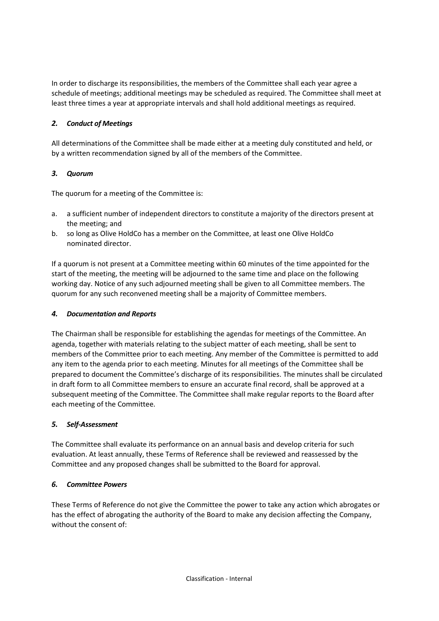In order to discharge its responsibilities, the members of the Committee shall each year agree a schedule of meetings; additional meetings may be scheduled as required. The Committee shall meet at least three times a year at appropriate intervals and shall hold additional meetings as required.

## *2. Conduct of Meetings*

All determinations of the Committee shall be made either at a meeting duly constituted and held, or by a written recommendation signed by all of the members of the Committee.

## *3. Quorum*

The quorum for a meeting of the Committee is:

- a. a sufficient number of independent directors to constitute a majority of the directors present at the meeting; and
- b. so long as Olive HoldCo has a member on the Committee, at least one Olive HoldCo nominated director.

If a quorum is not present at a Committee meeting within 60 minutes of the time appointed for the start of the meeting, the meeting will be adjourned to the same time and place on the following working day. Notice of any such adjourned meeting shall be given to all Committee members. The quorum for any such reconvened meeting shall be a majority of Committee members.

#### *4. Documentation and Reports*

The Chairman shall be responsible for establishing the agendas for meetings of the Committee. An agenda, together with materials relating to the subject matter of each meeting, shall be sent to members of the Committee prior to each meeting. Any member of the Committee is permitted to add any item to the agenda prior to each meeting. Minutes for all meetings of the Committee shall be prepared to document the Committee's discharge of its responsibilities. The minutes shall be circulated in draft form to all Committee members to ensure an accurate final record, shall be approved at a subsequent meeting of the Committee. The Committee shall make regular reports to the Board after each meeting of the Committee.

## *5. Self-Assessment*

The Committee shall evaluate its performance on an annual basis and develop criteria for such evaluation. At least annually, these Terms of Reference shall be reviewed and reassessed by the Committee and any proposed changes shall be submitted to the Board for approval.

## *6. Committee Powers*

These Terms of Reference do not give the Committee the power to take any action which abrogates or has the effect of abrogating the authority of the Board to make any decision affecting the Company, without the consent of: